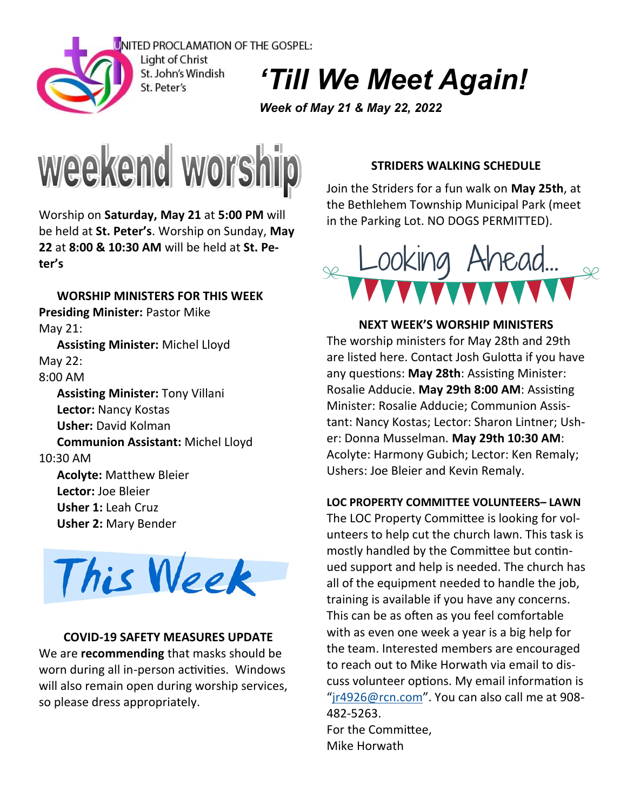

Light of Christ St. John's Windish St. Peter's

*'Till We Meet Again!*

*Week of May 21 & May 22, 2022*



Worship on **Saturday, May 21** at **5:00 PM** will be held at **St. Peter's**. Worship on Sunday, **May 22** at **8:00 & 10:30 AM** will be held at **St. Peter's**

**WORSHIP MINISTERS FOR THIS WEEK Presiding Minister:** Pastor Mike May 21: **Assisting Minister:** Michel Lloyd May 22: 8:00 AM **Assisting Minister:** Tony Villani **Lector:** Nancy Kostas **Usher:** David Kolman **Communion Assistant:** Michel Lloyd 10:30 AM **Acolyte:** Matthew Bleier **Lector:** Joe Bleier **Usher 1:** Leah Cruz **Usher 2:** Mary Bender



## **COVID-19 SAFETY MEASURES UPDATE**

We are **recommending** that masks should be worn during all in-person activities. Windows will also remain open during worship services, so please dress appropriately.

# **STRIDERS WALKING SCHEDULE**

Join the Striders for a fun walk on **May 25th**, at the Bethlehem Township Municipal Park (meet in the Parking Lot. NO DOGS PERMITTED).



**NEXT WEEK'S WORSHIP MINISTERS** The worship ministers for May 28th and 29th are listed here. Contact Josh Gulotta if you have any questions: **May 28th**: Assisting Minister: Rosalie Adducie. **May 29th 8:00 AM**: Assisting Minister: Rosalie Adducie; Communion Assistant: Nancy Kostas; Lector: Sharon Lintner; Usher: Donna Musselman. **May 29th 10:30 AM**: Acolyte: Harmony Gubich; Lector: Ken Remaly; Ushers: Joe Bleier and Kevin Remaly.

## **LOC PROPERTY COMMITTEE VOLUNTEERS– LAWN**

The LOC Property Committee is looking for volunteers to help cut the church lawn. This task is mostly handled by the Committee but continued support and help is needed. The church has all of the equipment needed to handle the job, training is available if you have any concerns. This can be as often as you feel comfortable with as even one week a year is a big help for the team. Interested members are encouraged to reach out to Mike Horwath via email to discuss volunteer options. My email information is "[jr4926@rcn.com](mailto:jr4926@rcn.com)". You can also call me at 908- 482-5263. For the Committee, Mike Horwath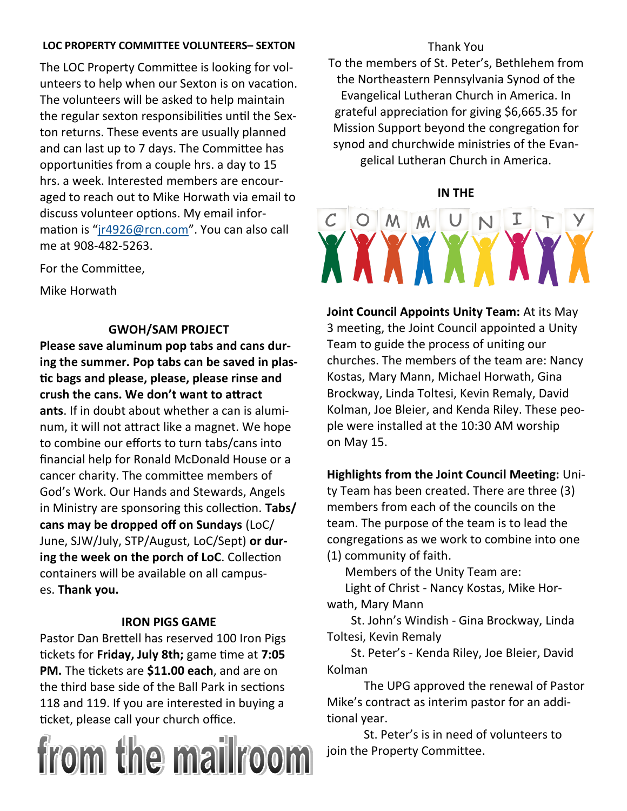# **LOC PROPERTY COMMITTEE VOLUNTEERS– SEXTON**

The LOC Property Committee is looking for volunteers to help when our Sexton is on vacation. The volunteers will be asked to help maintain the regular sexton responsibilities until the Sexton returns. These events are usually planned and can last up to 7 days. The Committee has opportunities from a couple hrs. a day to 15 hrs. a week. Interested members are encouraged to reach out to Mike Horwath via email to discuss volunteer options. My email information is "[jr4926@rcn.com](mailto:jr4926@rcn.com)". You can also call me at 908-482-5263.

For the Committee,

Mike Horwath

# **GWOH/SAM PROJECT**

**Please save aluminum pop tabs and cans during the summer. Pop tabs can be saved in plastic bags and please, please, please rinse and crush the cans. We don't want to attract ants**. If in doubt about whether a can is aluminum, it will not attract like a magnet. We hope to combine our efforts to turn tabs/cans into financial help for Ronald McDonald House or a cancer charity. The committee members of God's Work. Our Hands and Stewards, Angels in Ministry are sponsoring this collection. **Tabs/ cans may be dropped off on Sundays** (LoC/ June, SJW/July, STP/August, LoC/Sept) **or during the week on the porch of LoC**. Collection containers will be available on all campuses. **Thank you.**

# **IRON PIGS GAME**

Pastor Dan Brettell has reserved 100 Iron Pigs tickets for **Friday, July 8th;** game time at **7:05 PM.** The tickets are **\$11.00 each**, and are on the third base side of the Ball Park in sections 118 and 119. If you are interested in buying a ticket, please call your church office.



# Thank You

To the members of St. Peter's, Bethlehem from the Northeastern Pennsylvania Synod of the Evangelical Lutheran Church in America. In grateful appreciation for giving \$6,665.35 for Mission Support beyond the congregation for synod and churchwide ministries of the Evangelical Lutheran Church in America.

# **IN THE**

# O M M U N I T **XXXXXXXXXX**

**Joint Council Appoints Unity Team:** At its May 3 meeting, the Joint Council appointed a Unity Team to guide the process of uniting our churches. The members of the team are: Nancy Kostas, Mary Mann, Michael Horwath, Gina Brockway, Linda Toltesi, Kevin Remaly, David Kolman, Joe Bleier, and Kenda Riley. These people were installed at the 10:30 AM worship on May 15.

**Highlights from the Joint Council Meeting:** Unity Team has been created. There are three (3) members from each of the councils on the team. The purpose of the team is to lead the congregations as we work to combine into one (1) community of faith.

 Members of the Unity Team are: Light of Christ - Nancy Kostas, Mike Horwath, Mary Mann

 St. John's Windish - Gina Brockway, Linda Toltesi, Kevin Remaly

 St. Peter's - Kenda Riley, Joe Bleier, David Kolman

The UPG approved the renewal of Pastor Mike's contract as interim pastor for an additional year.

St. Peter's is in need of volunteers to join the Property Committee.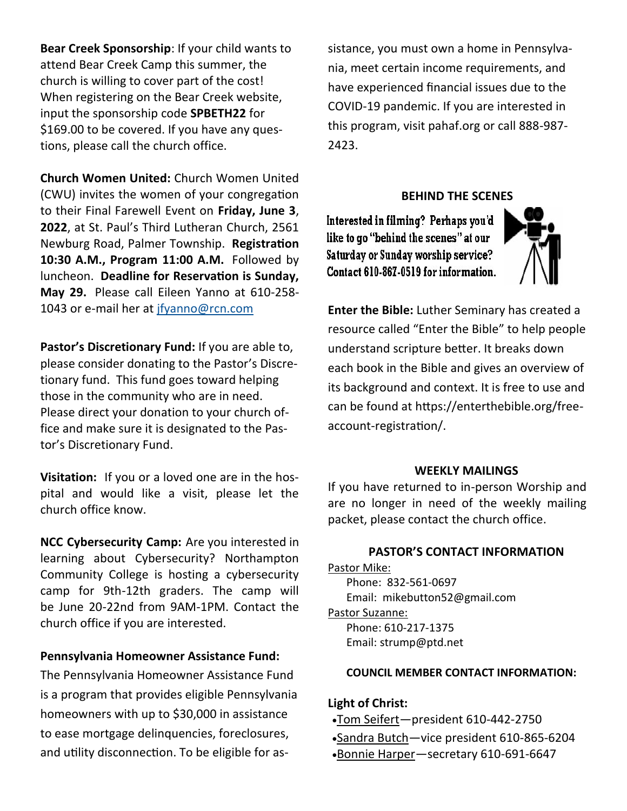**Bear Creek Sponsorship**: If your child wants to attend Bear Creek Camp this summer, the church is willing to cover part of the cost! When registering on the Bear Creek website, input the sponsorship code **SPBETH22** for \$169.00 to be covered. If you have any questions, please call the church office.

**Church Women United:** Church Women United (CWU) invites the women of your congregation to their Final Farewell Event on **Friday, June 3**, **2022**, at St. Paul's Third Lutheran Church, 2561 Newburg Road, Palmer Township. **Registration 10:30 A.M., Program 11:00 A.M.** Followed by luncheon. **Deadline for Reservation is Sunday, May 29.** Please call Eileen Yanno at 610-258 1043 or e-mail her at [jfyanno@rcn.com](mailto:jfyanno@rcn.com)

**Pastor's Discretionary Fund:** If you are able to, please consider donating to the Pastor's Discretionary fund. This fund goes toward helping those in the community who are in need. Please direct your donation to your church office and make sure it is designated to the Pastor's Discretionary Fund.

**Visitation:** If you or a loved one are in the hospital and would like a visit, please let the church office know.

**NCC Cybersecurity Camp:** Are you interested in learning about Cybersecurity? Northampton Community College is hosting a cybersecurity camp for 9th-12th graders. The camp will be June 20-22nd from 9AM-1PM. Contact the church office if you are interested.

## **Pennsylvania Homeowner Assistance Fund:**

The Pennsylvania Homeowner Assistance Fund is a program that provides eligible Pennsylvania homeowners with up to \$30,000 in assistance to ease mortgage delinquencies, foreclosures, and utility disconnection. To be eligible for assistance, you must own a home in Pennsylvania, meet certain income requirements, and have experienced financial issues due to the COVID-19 pandemic. If you are interested in this program, visit pahaf.org or call 888-987- 2423.

#### **BEHIND THE SCENES**

Interested in filming? Perhaps you'd like to go "behind the scenes" at our Saturday or Sunday worship service? Contact 610-867-0519 for information.



**Enter the Bible:** Luther Seminary has created a resource called "Enter the Bible" to help people understand scripture better. It breaks down each book in the Bible and gives an overview of its background and context. It is free to use and can be found at https://enterthebible.org/freeaccount-registration/.

#### **WEEKLY MAILINGS**

If you have returned to in-person Worship and are no longer in need of the weekly mailing packet, please contact the church office.

# **PASTOR'S CONTACT INFORMATION**

Pastor Mike: Phone: 832-561-0697 Email: mikebutton52@gmail.com

Pastor Suzanne: Phone: 610-217-1375 Email: strump@ptd.net

#### **COUNCIL MEMBER CONTACT INFORMATION:**

#### **Light of Christ:**

•Tom Seifert—president 610-442-2750 •Sandra Butch—vice president 610-865-6204 •Bonnie Harper—secretary 610-691-6647